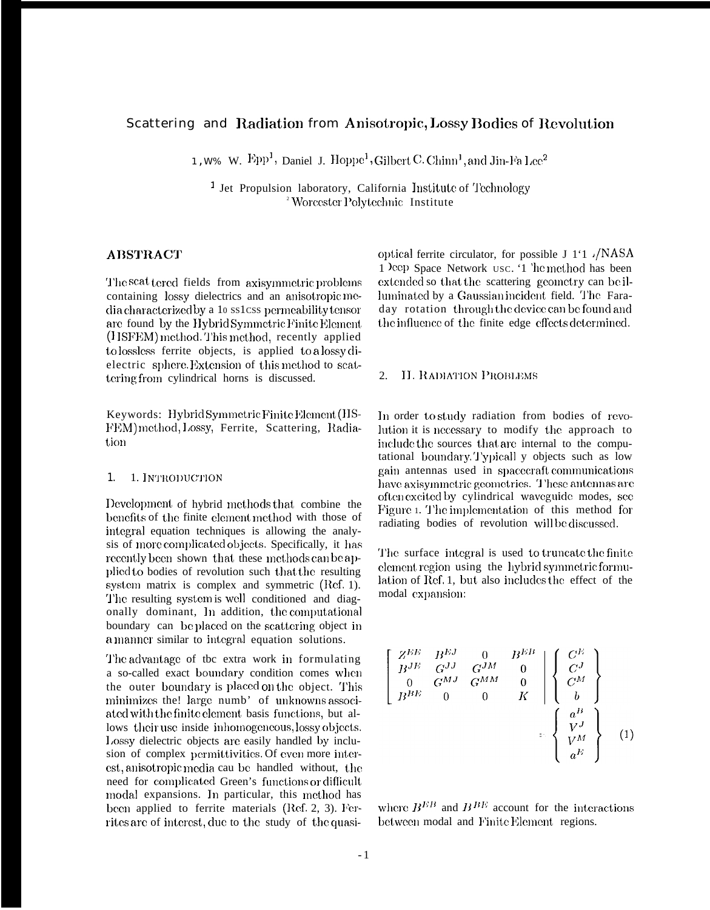# **Scattering and Radiation from Anisotropic, Lossy Bodies of Revolution**

**1, W**% W.  $Epp<sup>1</sup>$ , Daniel J. Hoppe<sup>1</sup>, Gilbert C. Chinn<sup>1</sup>, and Jin-Fa Lee<sup>2</sup>

<sup>1</sup> Jet Propulsion laboratory, California Institute of Technology <sup>2</sup> Worcester Polytechnic Institute

## **ABSTRACT**

The scat tered fields from axisymmetric problems containing lossy dielectrics and an anisotropic media characterized by a 10 ss1css permeability tensor are found by the Hybrid Symmetric Finite Element (HSFEM) method. This method, recently applied to lossless ferrite objects, is applied to a lossy dielectric sphere. Extension of this method to scattering from cylindrical horns is discussed.

Keywords: Hybrid Symmetric Finite Element (HS-FEM) method, Lossy, Ferrite, Scattering, Radiation

#### $1.$ 1. INTRODUCTION

Development of hybrid methods that combine the benefits of the finite element method with those of integral equation techniques is allowing the analysis of more complicated objects. Specifically, it has recently been shown that these methods can be applied to bodies of revolution such that the resulting system matrix is complex and symmetric (Ref. 1). The resulting system is well conditioned and diagonally dominant, In addition, the computational boundary can be placed on the scattering object in a manner similar to integral equation solutions.

The advantage of tbc extra work in formulating a so-called exact boundary condition comes when the outer boundary is placed on the object. This minimizes the! large numb' of unknowns associated with the finite element basis functions, but allows their use inside inhomogeneous, lossy objects. Lossy dielectric objects are easily handled by inclusion of complex permittivities. Of even more interest, anisotropic media cau be handled without, the need for complicated Green's functions or difficult modal expansions. In particular, this method has been applied to ferrite materials (Ref. 2, 3). Ferrites are of interest, due to the study of the quasi-

optical ferrite circulator, for possible J 1'1 /NASA 1 leep Space Network usc. '1 'he method has been extended so that the scattering geometry can be illuminated by a Gaussian incident field. The Faraday rotation through the device can be found and the influence of the finite edge effects determined.

#### $\overline{2}$ . **II. RADIATION PROBLEMS**

In order to study radiation from bodies of revolution it is necessary to modify the approach to include the sources that are internal to the computational boundary. Typicall y objects such as low gain antennas used in spacecraft communications have axisymmetric geometries. These antennas are often excited by cylindrical waveguide modes, see Figure 1. The implementation of this method for radiating bodies of revolution will be discussed.

The surface integral is used to truncate the finite element region using the hybrid symmetric formulation of Ref. 1, but also includes the effect of the modal expansion:

$$
\begin{bmatrix}\nZ^{EE} & B^{EJ} & 0 & B^{EB} \\
B^{JE} & G^{JJ} & G^{JM} & 0 \\
0 & G^{MJ} & G^{MM} & 0 \\
B^{BE} & 0 & 0 & K\n\end{bmatrix}\n\begin{bmatrix}\nC^E \\
C^J \\
C^M \\
b \\
b \\
V^J \\
V^M \\
a^{F}\n\end{bmatrix}
$$
\n(1)

where  $B^{EB}$  and  $B^{BE}$  account for the interactions between modal and Finite Element regions.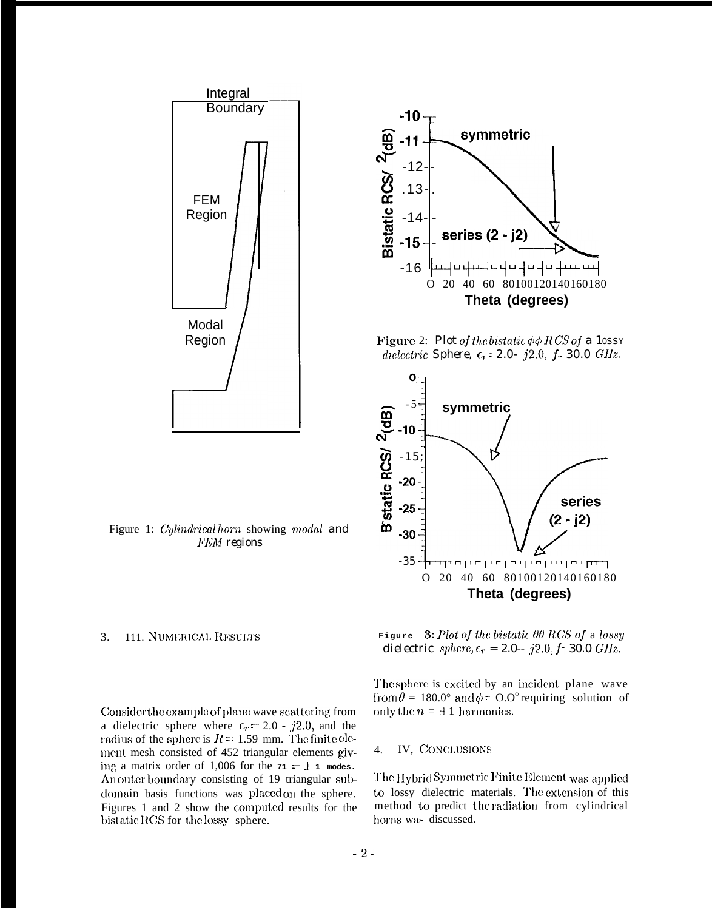

 $-10$ symmetric Bistatic RCS/ 2(dB) -11  $-12$  $.13$  $-14$ series (2 - j2)  $-15$  $-16$  $\overline{O}$ 20 40 60 80100120140160180 Theta (degrees)

Figure 2: Plot of the bistatic  $\phi \phi$  RCS of a 10SSY dielectric Sphere,  $\epsilon_r$  = 2.0-  $i2.0$ ,  $f = 30.0$  GHz.



Figure 1: Cylindrical horn showing modal and FEM regions

 $3.$ 111. NUMERICAL RESULTS

Consider the example of plane wave scattering from a dielectric sphere where  $\epsilon_r = 2.0$  - j2.0, and the radius of the sphere is  $R = 1.59$  mm. The finite element mesh consisted of 452 triangular elements giving a matrix order of 1,006 for the  $71 = \pm 1$  modes. An outer boundary consisting of 19 triangular subdomain basis functions was placed on the sphere. Figures 1 and 2 show the computed results for the bistatic RCS for the lossy sphere.

Figure 3: Plot of the bistatic  $\theta\theta$  RCS of a lossy dielectric sphere,  $\epsilon_r = 2.0 - j2.0$ ,  $f = 30.0$  GHz.

The sphere is excited by an incident plane wave from  $\theta = 180.0^{\circ}$  and  $\phi = 0.0^{\circ}$  requiring solution of only the  $n = \pm 1$  harmonics.

### IV, CONCLUSIONS 4.

The Hybrid Symmetric Finite Element was applied to lossy dielectric materials. The extension of this method to predict the radiation from cylindrical horns was discussed.